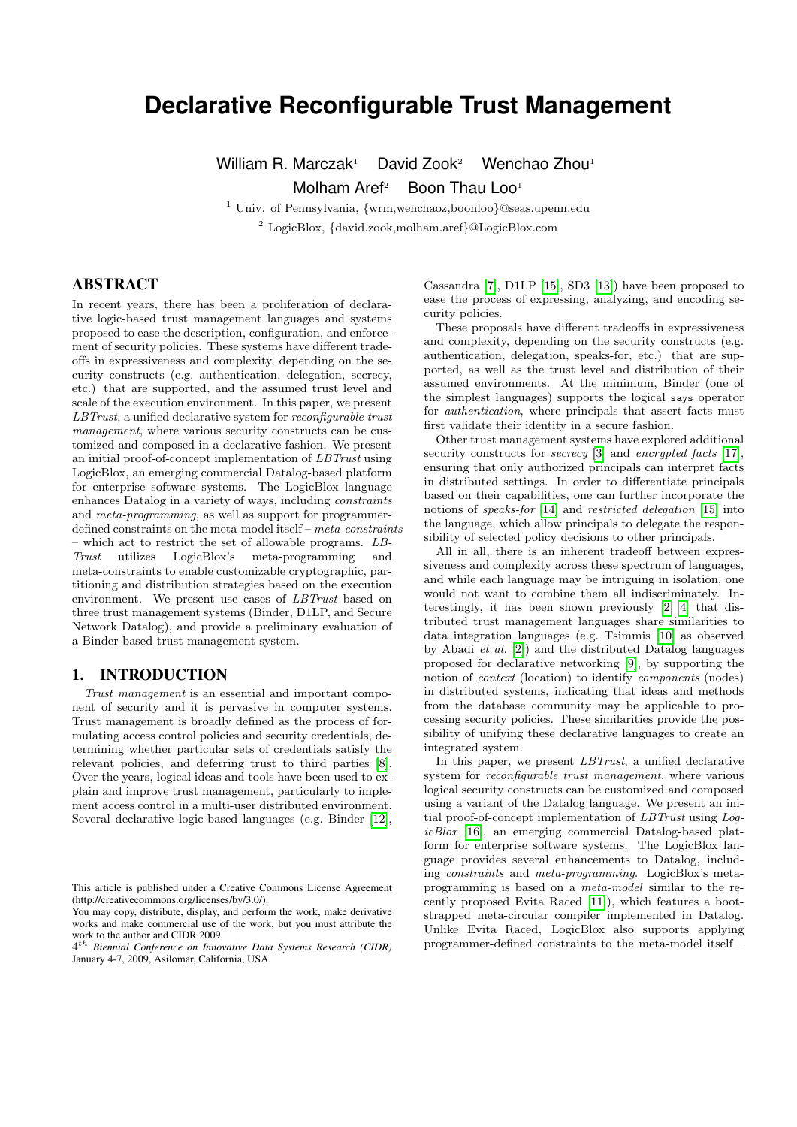# **Declarative Reconfigurable Trust Management**

William R. Marczak<sup>1</sup> David Zook<sup>2</sup> Wenchao Zhou<sup>1</sup> Molham Aref<sup>2</sup> Boon Thau Loo<sup>1</sup>

<sup>1</sup> Univ. of Pennsylvania, {wrm,wenchaoz,boonloo}@seas.upenn.edu <sup>2</sup> LogicBlox, {david.zook,molham.aref}@LogicBlox.com

# ABSTRACT

In recent years, there has been a proliferation of declarative logic-based trust management languages and systems proposed to ease the description, configuration, and enforcement of security policies. These systems have different tradeoffs in expressiveness and complexity, depending on the security constructs (e.g. authentication, delegation, secrecy, etc.) that are supported, and the assumed trust level and scale of the execution environment. In this paper, we present LBTrust, a unified declarative system for reconfigurable trust management, where various security constructs can be customized and composed in a declarative fashion. We present an initial proof-of-concept implementation of LBTrust using LogicBlox, an emerging commercial Datalog-based platform for enterprise software systems. The LogicBlox language enhances Datalog in a variety of ways, including constraints and meta-programming, as well as support for programmerdefined constraints on the meta-model itself – meta-constraints – which act to restrict the set of allowable programs. LB-Trust utilizes LogicBlox's meta-programming and meta-constraints to enable customizable cryptographic, partitioning and distribution strategies based on the execution environment. We present use cases of LBTrust based on three trust management systems (Binder, D1LP, and Secure Network Datalog), and provide a preliminary evaluation of a Binder-based trust management system.

## 1. INTRODUCTION

Trust management is an essential and important component of security and it is pervasive in computer systems. Trust management is broadly defined as the process of formulating access control policies and security credentials, determining whether particular sets of credentials satisfy the relevant policies, and deferring trust to third parties [\[8\]](#page-7-0). Over the years, logical ideas and tools have been used to explain and improve trust management, particularly to implement access control in a multi-user distributed environment. Several declarative logic-based languages (e.g. Binder [\[12\]](#page-7-1),

Cassandra [\[7\]](#page-7-2), D1LP [\[15\]](#page-7-3), SD3 [\[13\]](#page-7-4)) have been proposed to ease the process of expressing, analyzing, and encoding security policies.

These proposals have different tradeoffs in expressiveness and complexity, depending on the security constructs (e.g. authentication, delegation, speaks-for, etc.) that are supported, as well as the trust level and distribution of their assumed environments. At the minimum, Binder (one of the simplest languages) supports the logical says operator for authentication, where principals that assert facts must first validate their identity in a secure fashion.

Other trust management systems have explored additional security constructs for *secrecy* [\[3\]](#page-6-0) and *encrypted facts* [\[17\]](#page-7-5), ensuring that only authorized principals can interpret facts in distributed settings. In order to differentiate principals based on their capabilities, one can further incorporate the notions of speaks-for [\[14\]](#page-7-6) and restricted delegation [\[15\]](#page-7-3) into the language, which allow principals to delegate the responsibility of selected policy decisions to other principals.

All in all, there is an inherent tradeoff between expressiveness and complexity across these spectrum of languages, and while each language may be intriguing in isolation, one would not want to combine them all indiscriminately. Interestingly, it has been shown previously [\[2,](#page-6-1) [4\]](#page-6-2) that distributed trust management languages share similarities to data integration languages (e.g. Tsimmis [\[10\]](#page-7-7) as observed by Abadi et al. [\[2\]](#page-6-1)) and the distributed Datalog languages proposed for declarative networking [\[9\]](#page-7-8), by supporting the notion of context (location) to identify components (nodes) in distributed systems, indicating that ideas and methods from the database community may be applicable to processing security policies. These similarities provide the possibility of unifying these declarative languages to create an integrated system.

In this paper, we present LBTrust, a unified declarative system for reconfigurable trust management, where various logical security constructs can be customized and composed using a variant of the Datalog language. We present an initial proof-of-concept implementation of LBTrust using LogicBlox [\[16\]](#page-7-9), an emerging commercial Datalog-based platform for enterprise software systems. The LogicBlox language provides several enhancements to Datalog, including constraints and meta-programming. LogicBlox's metaprogramming is based on a meta-model similar to the recently proposed Evita Raced [\[11\]](#page-7-10)), which features a bootstrapped meta-circular compiler implemented in Datalog. Unlike Evita Raced, LogicBlox also supports applying programmer-defined constraints to the meta-model itself –

This article is published under a Creative Commons License Agreement (http://creativecommons.org/licenses/by/3.0/).

You may copy, distribute, display, and perform the work, make derivative works and make commercial use of the work, but you must attribute the work to the author and CIDR 2009.

<sup>4</sup> th *Biennial Conference on Innovative Data Systems Research (CIDR)* January 4-7, 2009, Asilomar, California, USA.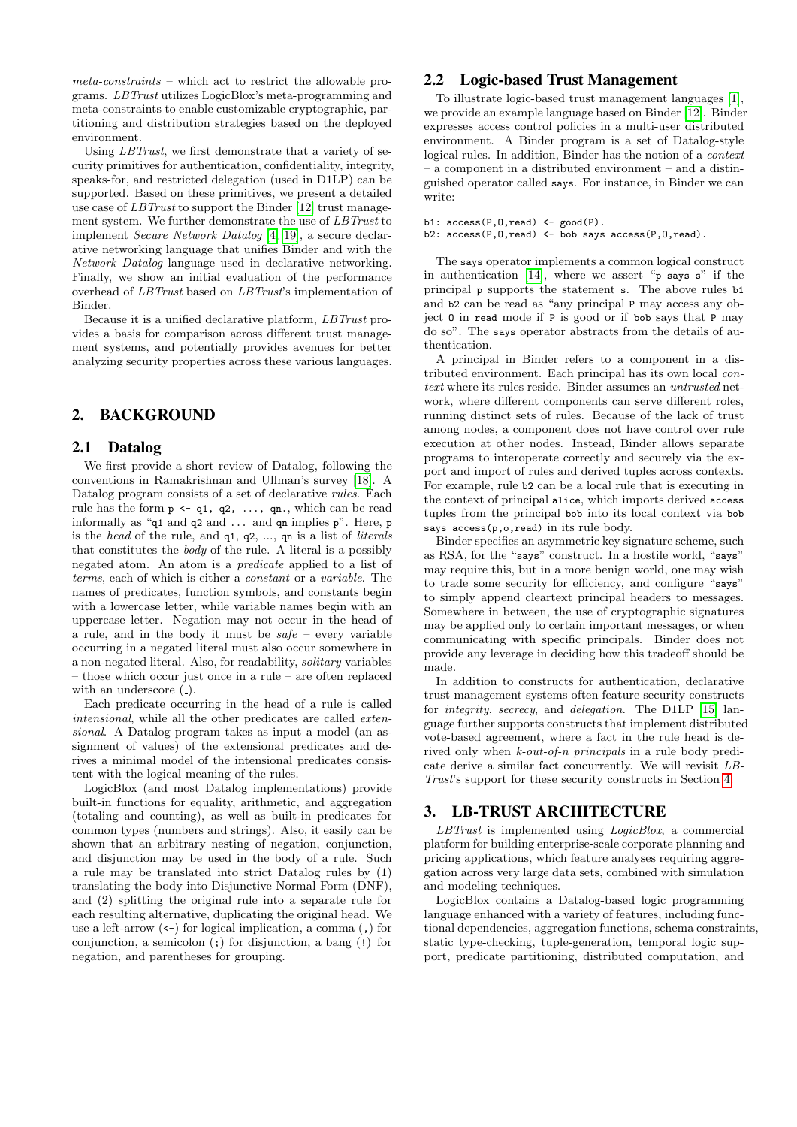meta-constraints – which act to restrict the allowable programs. LBTrust utilizes LogicBlox's meta-programming and meta-constraints to enable customizable cryptographic, partitioning and distribution strategies based on the deployed environment.

Using *LBTrust*, we first demonstrate that a variety of security primitives for authentication, confidentiality, integrity, speaks-for, and restricted delegation (used in D1LP) can be supported. Based on these primitives, we present a detailed use case of LBTrust to support the Binder [\[12\]](#page-7-1) trust management system. We further demonstrate the use of LBTrust to implement Secure Network Datalog [\[4,](#page-6-2) [19\]](#page-7-11), a secure declarative networking language that unifies Binder and with the Network Datalog language used in declarative networking. Finally, we show an initial evaluation of the performance overhead of LBTrust based on LBTrust's implementation of Binder.

Because it is a unified declarative platform, LBTrust provides a basis for comparison across different trust management systems, and potentially provides avenues for better analyzing security properties across these various languages.

# <span id="page-1-0"></span>2. BACKGROUND

## 2.1 Datalog

We first provide a short review of Datalog, following the conventions in Ramakrishnan and Ullman's survey [\[18\]](#page-7-12). A Datalog program consists of a set of declarative rules. Each rule has the form  $p \leftarrow q1$ ,  $q2$ , ...,  $qn$ ., which can be read informally as " $\sigma$ 1 and  $\sigma$ 2 and ... and  $\sigma$ n implies p". Here, p is the head of the rule, and q1, q2, ..., qn is a list of literals that constitutes the body of the rule. A literal is a possibly negated atom. An atom is a predicate applied to a list of terms, each of which is either a constant or a variable. The names of predicates, function symbols, and constants begin with a lowercase letter, while variable names begin with an uppercase letter. Negation may not occur in the head of a rule, and in the body it must be  $safe$  – every variable occurring in a negated literal must also occur somewhere in a non-negated literal. Also, for readability, solitary variables – those which occur just once in a rule – are often replaced with an underscore  $($ .).

Each predicate occurring in the head of a rule is called intensional, while all the other predicates are called extensional. A Datalog program takes as input a model (an assignment of values) of the extensional predicates and derives a minimal model of the intensional predicates consistent with the logical meaning of the rules.

LogicBlox (and most Datalog implementations) provide built-in functions for equality, arithmetic, and aggregation (totaling and counting), as well as built-in predicates for common types (numbers and strings). Also, it easily can be shown that an arbitrary nesting of negation, conjunction, and disjunction may be used in the body of a rule. Such a rule may be translated into strict Datalog rules by (1) translating the body into Disjunctive Normal Form (DNF), and (2) splitting the original rule into a separate rule for each resulting alternative, duplicating the original head. We use a left-arrow (<-) for logical implication, a comma (,) for conjunction, a semicolon (;) for disjunction, a bang (!) for negation, and parentheses for grouping.

# <span id="page-1-1"></span>2.2 Logic-based Trust Management

To illustrate logic-based trust management languages [\[1\]](#page-6-3), we provide an example language based on Binder [\[12\]](#page-7-1). Binder expresses access control policies in a multi-user distributed environment. A Binder program is a set of Datalog-style logical rules. In addition, Binder has the notion of a context – a component in a distributed environment – and a distinguished operator called says. For instance, in Binder we can write:

b1:  $\text{access}(P, 0, \text{read})$  <-  $\text{good}(P)$ . b2:  $access(P, 0, read)$  <- bob says  $access(P, 0, read)$ .

The says operator implements a common logical construct in authentication [\[14\]](#page-7-6), where we assert "p says s" if the principal p supports the statement s. The above rules b1 and b2 can be read as "any principal P may access any object O in read mode if P is good or if bob says that P may do so". The says operator abstracts from the details of authentication.

A principal in Binder refers to a component in a distributed environment. Each principal has its own local context where its rules reside. Binder assumes an untrusted network, where different components can serve different roles, running distinct sets of rules. Because of the lack of trust among nodes, a component does not have control over rule execution at other nodes. Instead, Binder allows separate programs to interoperate correctly and securely via the export and import of rules and derived tuples across contexts. For example, rule b2 can be a local rule that is executing in the context of principal alice, which imports derived access tuples from the principal bob into its local context via bob says access(p,o,read) in its rule body.

Binder specifies an asymmetric key signature scheme, such as RSA, for the "says" construct. In a hostile world, "says" may require this, but in a more benign world, one may wish to trade some security for efficiency, and configure "says" to simply append cleartext principal headers to messages. Somewhere in between, the use of cryptographic signatures may be applied only to certain important messages, or when communicating with specific principals. Binder does not provide any leverage in deciding how this tradeoff should be made.

In addition to constructs for authentication, declarative trust management systems often feature security constructs for integrity, secrecy, and delegation. The D1LP [\[15\]](#page-7-3) language further supports constructs that implement distributed vote-based agreement, where a fact in the rule head is derived only when k-out-of-n principals in a rule body predicate derive a similar fact concurrently. We will revisit LB-Trust's support for these security constructs in Section [4.](#page-3-0)

#### <span id="page-1-2"></span>3. LB-TRUST ARCHITECTURE

LBTrust is implemented using *LogicBlox*, a commercial platform for building enterprise-scale corporate planning and pricing applications, which feature analyses requiring aggregation across very large data sets, combined with simulation and modeling techniques.

LogicBlox contains a Datalog-based logic programming language enhanced with a variety of features, including functional dependencies, aggregation functions, schema constraints, static type-checking, tuple-generation, temporal logic support, predicate partitioning, distributed computation, and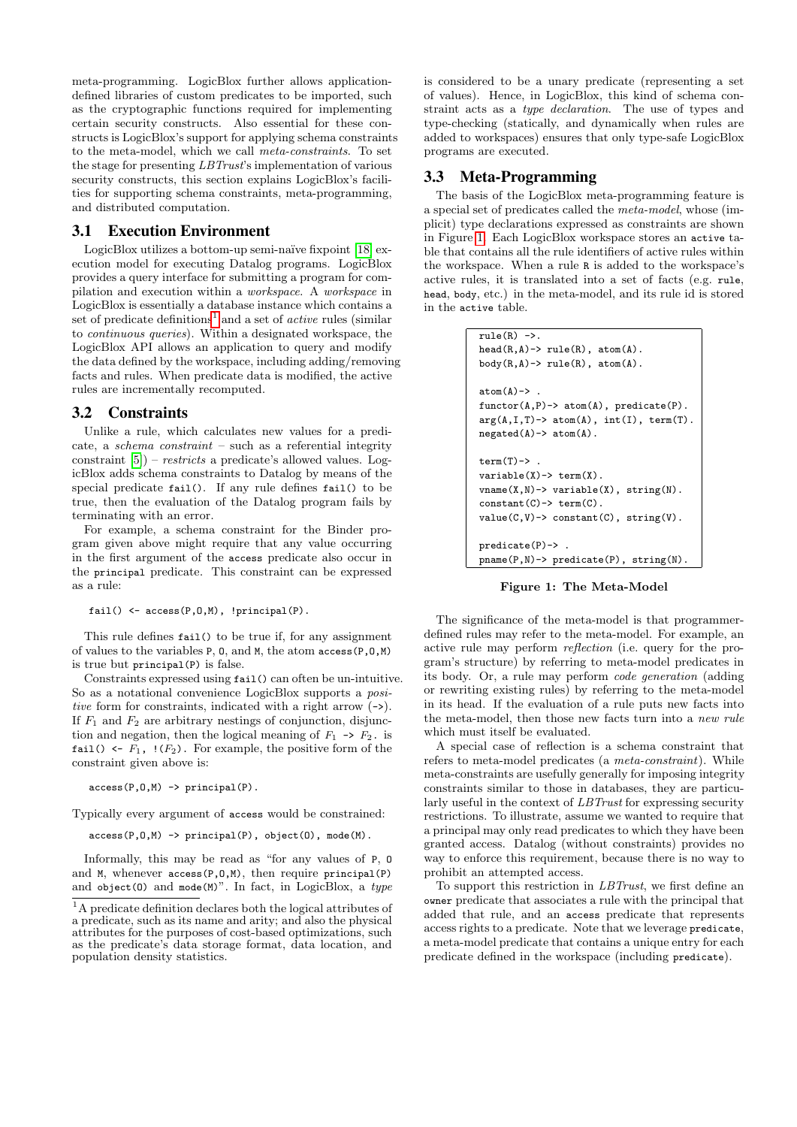meta-programming. LogicBlox further allows applicationdefined libraries of custom predicates to be imported, such as the cryptographic functions required for implementing certain security constructs. Also essential for these constructs is LogicBlox's support for applying schema constraints to the meta-model, which we call meta-constraints. To set the stage for presenting LBTrust's implementation of various security constructs, this section explains LogicBlox's facilities for supporting schema constraints, meta-programming, and distributed computation.

## 3.1 Execution Environment

LogicBlox utilizes a bottom-up semi-naïve fixpoint [\[18\]](#page-7-12) execution model for executing Datalog programs. LogicBlox provides a query interface for submitting a program for compilation and execution within a workspace. A workspace in LogicBlox is essentially a database instance which contains a set of predicate definitions<sup>[1](#page-2-0)</sup> and a set of *active* rules (similar to continuous queries). Within a designated workspace, the LogicBlox API allows an application to query and modify the data defined by the workspace, including adding/removing facts and rules. When predicate data is modified, the active rules are incrementally recomputed.

#### 3.2 Constraints

Unlike a rule, which calculates new values for a predicate, a schema constraint – such as a referential integrity constraint [\[5\]](#page-7-13)) – restricts a predicate's allowed values. LogicBlox adds schema constraints to Datalog by means of the special predicate fail(). If any rule defines fail() to be true, then the evaluation of the Datalog program fails by terminating with an error.

For example, a schema constraint for the Binder program given above might require that any value occurring in the first argument of the access predicate also occur in the principal predicate. This constraint can be expressed as a rule:

fail()  $\leftarrow$  access(P,0,M), !principal(P).

This rule defines fail() to be true if, for any assignment of values to the variables P, O, and M, the atom access(P,O,M) is true but principal(P) is false.

Constraints expressed using fail() can often be un-intuitive. So as a notational convenience LogicBlox supports a positive form for constraints, indicated with a right arrow  $(-)$ . If  $F_1$  and  $F_2$  are arbitrary nestings of conjunction, disjunction and negation, then the logical meaning of  $F_1 \rightarrow F_2$ . is fail()  $\leftarrow F_1$ ,  $\left(\frac{F_2}{F_2}\right)$ . For example, the positive form of the constraint given above is:

 $\text{access}(P, 0, M) \rightarrow \text{principal}(P)$ .

Typically every argument of access would be constrained:

 $\text{access}(P,0,M) \rightarrow \text{principal}(P)$ ,  $\text{object}(0)$ ,  $\text{mode}(M)$ .

Informally, this may be read as "for any values of P, O and M, whenever access(P,O,M), then require principal(P) and object(0) and mode(M)". In fact, in LogicBlox, a type

is considered to be a unary predicate (representing a set of values). Hence, in LogicBlox, this kind of schema constraint acts as a type declaration. The use of types and type-checking (statically, and dynamically when rules are added to workspaces) ensures that only type-safe LogicBlox programs are executed.

# 3.3 Meta-Programming

The basis of the LogicBlox meta-programming feature is a special set of predicates called the meta-model, whose (implicit) type declarations expressed as constraints are shown in Figure [1.](#page-2-1) Each LogicBlox workspace stores an active table that contains all the rule identifiers of active rules within the workspace. When a rule R is added to the workspace's active rules, it is translated into a set of facts (e.g. rule, head, body, etc.) in the meta-model, and its rule id is stored in the active table.

```
rule(R) ->.
head(R, A)-> rule(R), atom(A).
body(R,A) \rightarrow rule(R), atom(A).
atom(A)-&.
functor(A, P) \rightarrow atom(A), predicate(P).arg(A,I,T)-> atom(A), int(I), term(T).
negated(A) \rightarrow atom(A).
term(T)->.
variable(X) \rightarrow term(X).
vname(X,N) -> variable(X), string(N).
constant(C) \rightarrow term(C).
value(C, V) \rightarrow constant(C), string(V).
predicate(P)-> .
pname(P,N)-> predicate(P), string(N).
```
<span id="page-2-1"></span>Figure 1: The Meta-Model

The significance of the meta-model is that programmerdefined rules may refer to the meta-model. For example, an active rule may perform reflection (i.e. query for the program's structure) by referring to meta-model predicates in its body. Or, a rule may perform code generation (adding or rewriting existing rules) by referring to the meta-model in its head. If the evaluation of a rule puts new facts into the meta-model, then those new facts turn into a new rule which must itself be evaluated.

A special case of reflection is a schema constraint that refers to meta-model predicates (a meta-constraint). While meta-constraints are usefully generally for imposing integrity constraints similar to those in databases, they are particularly useful in the context of LBTrust for expressing security restrictions. To illustrate, assume we wanted to require that a principal may only read predicates to which they have been granted access. Datalog (without constraints) provides no way to enforce this requirement, because there is no way to prohibit an attempted access.

To support this restriction in LBTrust, we first define an owner predicate that associates a rule with the principal that added that rule, and an access predicate that represents access rights to a predicate. Note that we leverage predicate, a meta-model predicate that contains a unique entry for each predicate defined in the workspace (including predicate).

<span id="page-2-0"></span> $^{\rm 1}{\rm A}$  predicate definition declares both the logical attributes of a predicate, such as its name and arity; and also the physical attributes for the purposes of cost-based optimizations, such as the predicate's data storage format, data location, and population density statistics.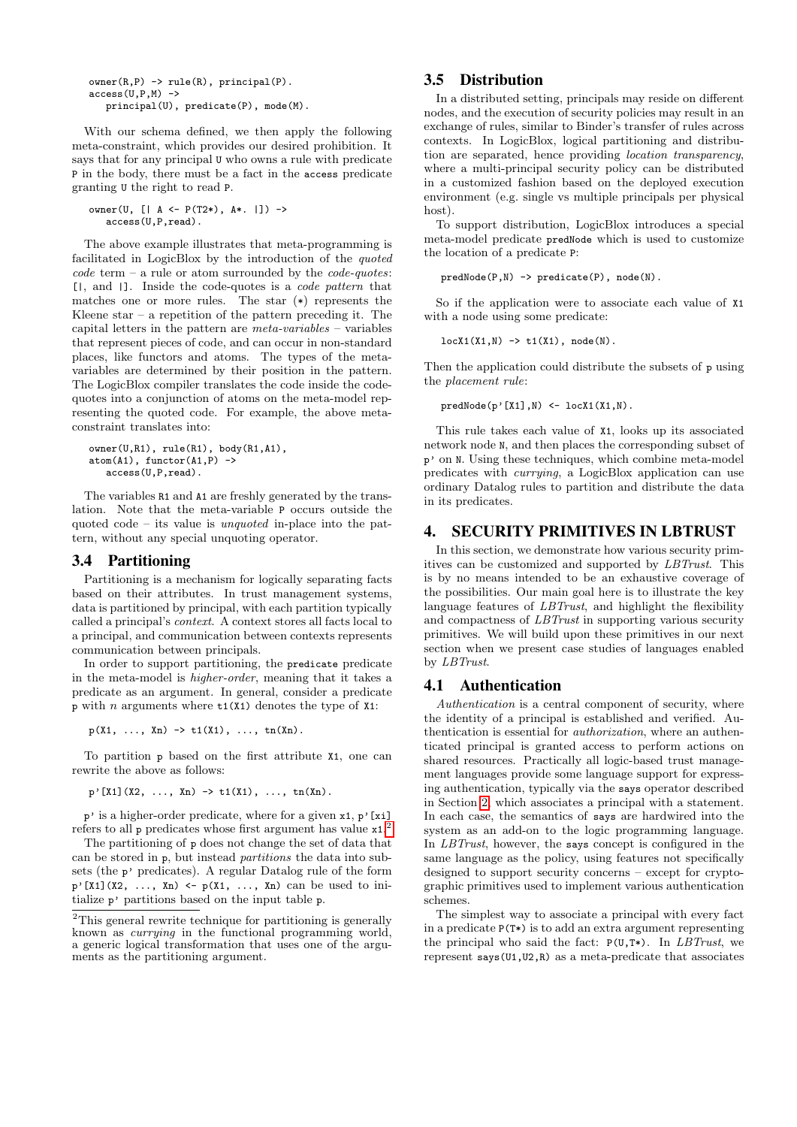$owner(R, P) \rightarrow rule(R)$ ,  $principal(P)$ .  $access(U.P.M)$  -> principal(U), predicate(P), mode(M).

With our schema defined, we then apply the following meta-constraint, which provides our desired prohibition. It says that for any principal U who owns a rule with predicate P in the body, there must be a fact in the access predicate granting U the right to read P.

```
owner(U, [| A \leftarrow P(T2*), A*. | ]) ->
   access(U,P,read).
```
The above example illustrates that meta-programming is facilitated in LogicBlox by the introduction of the quoted  $code \text{ term } - \text{ a rule or atom surrounded by the code-quoties:}$ [|, and |]. Inside the code-quotes is a code pattern that matches one or more rules. The star (\*) represents the Kleene star  $-$  a repetition of the pattern preceding it. The capital letters in the pattern are meta-variables – variables that represent pieces of code, and can occur in non-standard places, like functors and atoms. The types of the metavariables are determined by their position in the pattern. The LogicBlox compiler translates the code inside the codequotes into a conjunction of atoms on the meta-model representing the quoted code. For example, the above metaconstraint translates into:

```
owner(U,R1), rule(R1), body(R1,A1),
atom(A1), functor(A1,P) ->
   access(U,P,read).
```
The variables R1 and A1 are freshly generated by the translation. Note that the meta-variable P occurs outside the quoted code – its value is unquoted in-place into the pattern, without any special unquoting operator.

#### 3.4 Partitioning

Partitioning is a mechanism for logically separating facts based on their attributes. In trust management systems, data is partitioned by principal, with each partition typically called a principal's context. A context stores all facts local to a principal, and communication between contexts represents communication between principals.

In order to support partitioning, the predicate predicate in the meta-model is higher-order, meaning that it takes a predicate as an argument. In general, consider a predicate p with n arguments where  $t1(X1)$  denotes the type of X1:

 $p(X1, \ldots, Xn) \rightarrow t1(X1), \ldots, t n(Xn)$ .

To partition p based on the first attribute X1, one can rewrite the above as follows:

 $p'$ [X1](X2, ..., Xn) -> t1(X1), ..., tn(Xn).

 $p'$  is a higher-order predicate, where for a given  $x1$ ,  $p'$ [xi] refers to all p predicates whose first argument has value x1. [2](#page-3-1)

The partitioning of p does not change the set of data that can be stored in p, but instead partitions the data into subsets (the p' predicates). A regular Datalog rule of the form  $p'[X1](X2, \ldots, Xn) \leftarrow p(X1, \ldots, Xn)$  can be used to initialize p' partitions based on the input table p.

## <span id="page-3-2"></span>3.5 Distribution

In a distributed setting, principals may reside on different nodes, and the execution of security policies may result in an exchange of rules, similar to Binder's transfer of rules across contexts. In LogicBlox, logical partitioning and distribution are separated, hence providing location transparency, where a multi-principal security policy can be distributed in a customized fashion based on the deployed execution environment (e.g. single vs multiple principals per physical host).

To support distribution, LogicBlox introduces a special meta-model predicate predNode which is used to customize the location of a predicate P:

predNode(P,N) -> predicate(P), node(N).

So if the application were to associate each value of X1 with a node using some predicate:

 $locX1(X1,N) \rightarrow tl(X1), node(N).$ 

Then the application could distribute the subsets of p using the placement rule:

 $predNode(p'[X1], N) \leftarrow lock1(X1, N).$ 

This rule takes each value of X1, looks up its associated network node N, and then places the corresponding subset of p' on N. Using these techniques, which combine meta-model predicates with currying, a LogicBlox application can use ordinary Datalog rules to partition and distribute the data in its predicates.

## <span id="page-3-0"></span>4. SECURITY PRIMITIVES IN LBTRUST

In this section, we demonstrate how various security primitives can be customized and supported by LBTrust. This is by no means intended to be an exhaustive coverage of the possibilities. Our main goal here is to illustrate the key language features of LBTrust, and highlight the flexibility and compactness of LBTrust in supporting various security primitives. We will build upon these primitives in our next section when we present case studies of languages enabled by LBTrust.

#### 4.1 Authentication

Authentication is a central component of security, where the identity of a principal is established and verified. Authentication is essential for authorization, where an authenticated principal is granted access to perform actions on shared resources. Practically all logic-based trust management languages provide some language support for expressing authentication, typically via the says operator described in Section [2,](#page-1-0) which associates a principal with a statement. In each case, the semantics of says are hardwired into the system as an add-on to the logic programming language. In *LBTrust*, however, the says concept is configured in the same language as the policy, using features not specifically designed to support security concerns – except for cryptographic primitives used to implement various authentication schemes.

The simplest way to associate a principal with every fact in a predicate P(T\*) is to add an extra argument representing the principal who said the fact:  $P(U,T*)$ . In *LBTrust*, we represent says(U1,U2,R) as a meta-predicate that associates

<span id="page-3-1"></span> $2$ This general rewrite technique for partitioning is generally known as currying in the functional programming world, a generic logical transformation that uses one of the arguments as the partitioning argument.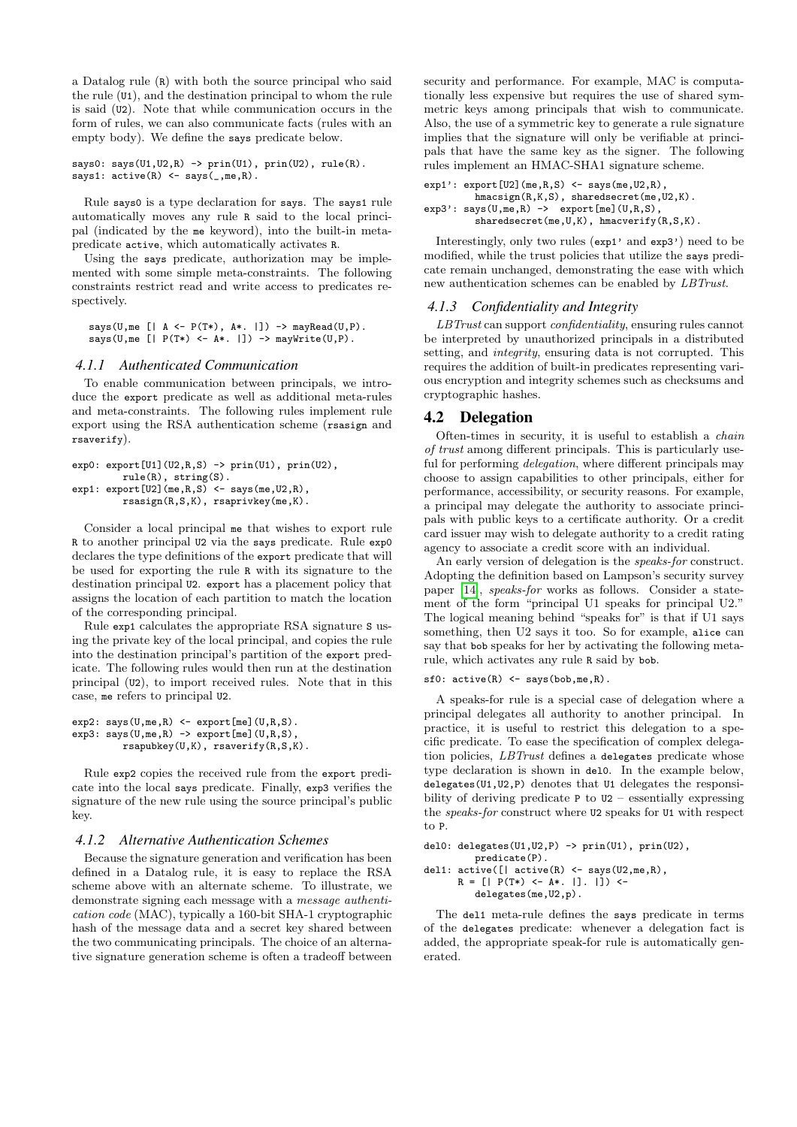a Datalog rule (R) with both the source principal who said the rule (U1), and the destination principal to whom the rule is said (U2). Note that while communication occurs in the form of rules, we can also communicate facts (rules with an empty body). We define the says predicate below.

```
says0: says(U1,U2,R) -> prin(U1), prin(U2), rule(R).
says1: active(R) <- says(,me,R).
```
Rule says0 is a type declaration for says. The says1 rule automatically moves any rule R said to the local principal (indicated by the me keyword), into the built-in metapredicate active, which automatically activates R.

Using the says predicate, authorization may be implemented with some simple meta-constraints. The following constraints restrict read and write access to predicates respectively.

```
says(U,me [| A <- P(T*), A*. |]) -> mayRead(U,P).
says(U,me [| P(T*) <- A*. |]) -> mayWrite(U,P).
```
#### *4.1.1 Authenticated Communication*

To enable communication between principals, we introduce the export predicate as well as additional meta-rules and meta-constraints. The following rules implement rule export using the RSA authentication scheme (rsasign and rsaverify).

```
exp0: \text{export}[U1](U2,R,S) \rightarrow \text{prin}(U1), \text{prin}(U2),
           rule(R), string(S).
exp1: \text{export}[U2](me,R,S) <- \text{says}(me, U2,R),
            rsasign(R,S,K), rsaprivkey(me,K).
```
Consider a local principal me that wishes to export rule R to another principal U2 via the says predicate. Rule exp0 declares the type definitions of the export predicate that will be used for exporting the rule R with its signature to the destination principal U2. export has a placement policy that assigns the location of each partition to match the location of the corresponding principal.

Rule exp1 calculates the appropriate RSA signature S using the private key of the local principal, and copies the rule into the destination principal's partition of the export predicate. The following rules would then run at the destination principal (U2), to import received rules. Note that in this case, me refers to principal U2.

```
exp2: says(U, me, R) \leftarrow export[me](U, R, S).\exp3: says(U,me,R) -> export[me](U,R,S),
          rsapubkey(U,K), rsaverify(R,S,K).
```
Rule exp2 copies the received rule from the export predicate into the local says predicate. Finally, exp3 verifies the signature of the new rule using the source principal's public key.

#### *4.1.2 Alternative Authentication Schemes*

Because the signature generation and verification has been defined in a Datalog rule, it is easy to replace the RSA scheme above with an alternate scheme. To illustrate, we demonstrate signing each message with a message authentication code (MAC), typically a 160-bit SHA-1 cryptographic hash of the message data and a secret key shared between the two communicating principals. The choice of an alternative signature generation scheme is often a tradeoff between

security and performance. For example, MAC is computationally less expensive but requires the use of shared symmetric keys among principals that wish to communicate. Also, the use of a symmetric key to generate a rule signature implies that the signature will only be verifiable at principals that have the same key as the signer. The following rules implement an HMAC-SHA1 signature scheme.

```
exp1': export[U2](me,R,S) <- says(me, U2,R),
         hmacsign(R,K,S), sharedsecret(me, U2,K).
exp3': says(U, me, R) \rightarrow expect[me](U, R, S),
          sharedsecret(me,U,K), hmacverify(R,S,K).
```
Interestingly, only two rules (exp1' and exp3') need to be modified, while the trust policies that utilize the says predicate remain unchanged, demonstrating the ease with which new authentication schemes can be enabled by LBTrust.

#### *4.1.3 Confidentiality and Integrity*

LBTrust can support confidentiality, ensuring rules cannot be interpreted by unauthorized principals in a distributed setting, and *integrity*, ensuring data is not corrupted. This requires the addition of built-in predicates representing various encryption and integrity schemes such as checksums and cryptographic hashes.

#### <span id="page-4-0"></span>4.2 Delegation

Often-times in security, it is useful to establish a chain of trust among different principals. This is particularly useful for performing *delegation*, where different principals may choose to assign capabilities to other principals, either for performance, accessibility, or security reasons. For example, a principal may delegate the authority to associate principals with public keys to a certificate authority. Or a credit card issuer may wish to delegate authority to a credit rating agency to associate a credit score with an individual.

An early version of delegation is the speaks-for construct. Adopting the definition based on Lampson's security survey paper [\[14\]](#page-7-6), speaks-for works as follows. Consider a statement of the form "principal U1 speaks for principal U2." The logical meaning behind "speaks for" is that if U1 says something, then U2 says it too. So for example, alice can say that bob speaks for her by activating the following metarule, which activates any rule R said by bob.

```
sfo: active(R) \leftarrow says(bob, me, R).
```
A speaks-for rule is a special case of delegation where a principal delegates all authority to another principal. In practice, it is useful to restrict this delegation to a specific predicate. To ease the specification of complex delegation policies, LBTrust defines a delegates predicate whose type declaration is shown in del0. In the example below, delegates(U1,U2,P) denotes that U1 delegates the responsibility of deriving predicate  $P$  to  $U2$  – essentially expressing the speaks-for construct where U2 speaks for U1 with respect to P.

```
del0: delegates(U1,U2,P) \rightarrow prin(U1), prin(U2),
          predicate(P).
del1: active([ | active(R) < - says(U2, me, R),
       R = [] P(T*) \leftarrow A*. []. ]) <-
```

```
delegates(me,U2,p).
```
The del1 meta-rule defines the says predicate in terms of the delegates predicate: whenever a delegation fact is added, the appropriate speak-for rule is automatically generated.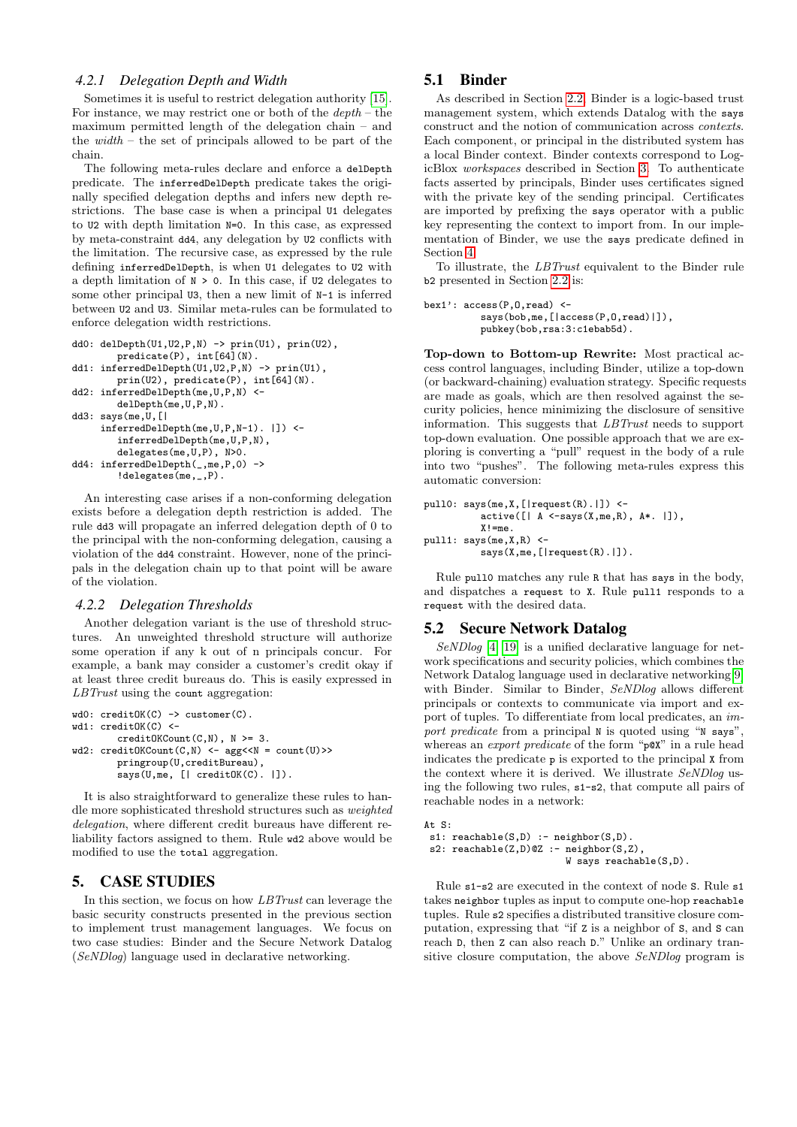#### *4.2.1 Delegation Depth and Width*

Sometimes it is useful to restrict delegation authority [\[15\]](#page-7-3). For instance, we may restrict one or both of the  $depth$  – the maximum permitted length of the delegation chain – and the  $width$  – the set of principals allowed to be part of the chain.

The following meta-rules declare and enforce a delDepth predicate. The inferredDelDepth predicate takes the originally specified delegation depths and infers new depth restrictions. The base case is when a principal U1 delegates to U2 with depth limitation N=0. In this case, as expressed by meta-constraint dd4, any delegation by U2 conflicts with the limitation. The recursive case, as expressed by the rule defining inferredDelDepth, is when U1 delegates to U2 with a depth limitation of  $N > 0$ . In this case, if U2 delegates to some other principal U3, then a new limit of N-1 is inferred between U2 and U3. Similar meta-rules can be formulated to enforce delegation width restrictions.

```
dd0: delDepth(U1,U2,P,N) -> prin(U1), prin(U2),
        predicate(P), int[64](N).
dd1: inferredDelDepth(U1,U2,P,N) -> prin(U1)
        prin(U2), predicate(P), int[64](N).
dd2: inferredDelDepth(me,U,P,N) <-
        delDepth(me,U,P,N).
dd3: says(me,U,[|
     inferredDelDepth(me,U,P,N-1). |]) <-
        inferredDelDepth(me,U,P,N),
        delegates(me,U,P), N>0.
dd4: inferredDelDepth(_,me,P,0) ->
        !delegates(me,_,P).
```
An interesting case arises if a non-conforming delegation exists before a delegation depth restriction is added. The rule dd3 will propagate an inferred delegation depth of 0 to the principal with the non-conforming delegation, causing a violation of the dd4 constraint. However, none of the principals in the delegation chain up to that point will be aware of the violation.

## *4.2.2 Delegation Thresholds*

Another delegation variant is the use of threshold structures. An unweighted threshold structure will authorize some operation if any k out of n principals concur. For example, a bank may consider a customer's credit okay if at least three credit bureaus do. This is easily expressed in LBTrust using the count aggregation:

```
wd0: creditOK(C) \rightarrow customer(C).wd1: creditOK(C) <-
         creditOKCount(C,N), N >= 3.
wd2: creditOKCount(C, N) \leftarrow agg\left\langle N = count(U)\right\ranglepringroup(U,creditBureau),
         says(U,me, [|\; creditOK(C). |\;]).
```
It is also straightforward to generalize these rules to handle more sophisticated threshold structures such as weighted delegation, where different credit bureaus have different reliability factors assigned to them. Rule wd2 above would be modified to use the total aggregation.

## 5. CASE STUDIES

In this section, we focus on how LBTrust can leverage the basic security constructs presented in the previous section to implement trust management languages. We focus on two case studies: Binder and the Secure Network Datalog (SeNDlog) language used in declarative networking.

## <span id="page-5-0"></span>5.1 Binder

As described in Section [2.2,](#page-1-1) Binder is a logic-based trust management system, which extends Datalog with the says construct and the notion of communication across contexts. Each component, or principal in the distributed system has a local Binder context. Binder contexts correspond to LogicBlox workspaces described in Section [3.](#page-1-2) To authenticate facts asserted by principals, Binder uses certificates signed with the private key of the sending principal. Certificates are imported by prefixing the says operator with a public key representing the context to import from. In our implementation of Binder, we use the says predicate defined in Section [4.](#page-3-0)

To illustrate, the LBTrust equivalent to the Binder rule b2 presented in Section [2.2](#page-1-1) is:

```
bex1': access(P,O,read) <-
          says(bob,me, [|access(P, 0, read)|]),
          pubkey(bob,rsa:3:c1ebab5d).
```
Top-down to Bottom-up Rewrite: Most practical access control languages, including Binder, utilize a top-down (or backward-chaining) evaluation strategy. Specific requests are made as goals, which are then resolved against the security policies, hence minimizing the disclosure of sensitive information. This suggests that LBTrust needs to support top-down evaluation. One possible approach that we are exploring is converting a "pull" request in the body of a rule into two "pushes". The following meta-rules express this automatic conversion:

```
pull0: says(me,X,[|request(R).|]) <-
          active([ | A <- says(X, me, R), A*. |]),
          X! = me.pull1: says(me,X,R) <-
          says(X,me, [|request(R).|]).
```
Rule pull0 matches any rule R that has says in the body, and dispatches a request to X. Rule pull1 responds to a request with the desired data.

## 5.2 Secure Network Datalog

SeNDlog [\[4,](#page-6-2) [19\]](#page-7-11) is a unified declarative language for network specifications and security policies, which combines the Network Datalog language used in declarative networking[\[9\]](#page-7-8) with Binder. Similar to Binder, SeNDlog allows different principals or contexts to communicate via import and export of tuples. To differentiate from local predicates, an import predicate from a principal N is quoted using "N says", whereas an *export predicate* of the form "pox" in a rule head indicates the predicate p is exported to the principal X from the context where it is derived. We illustrate SeNDlog using the following two rules, s1-s2, that compute all pairs of reachable nodes in a network:

```
At S:
```
s1: reachable(S,D) :- neighbor(S,D). s2:  $reachable(Z,D)@Z : -\nneighbour(S,Z)$ W says reachable(S,D).

Rule s1-s2 are executed in the context of node S. Rule s1 takes neighbor tuples as input to compute one-hop reachable tuples. Rule s2 specifies a distributed transitive closure computation, expressing that "if Z is a neighbor of S, and S can reach D, then Z can also reach D." Unlike an ordinary transitive closure computation, the above SeNDlog program is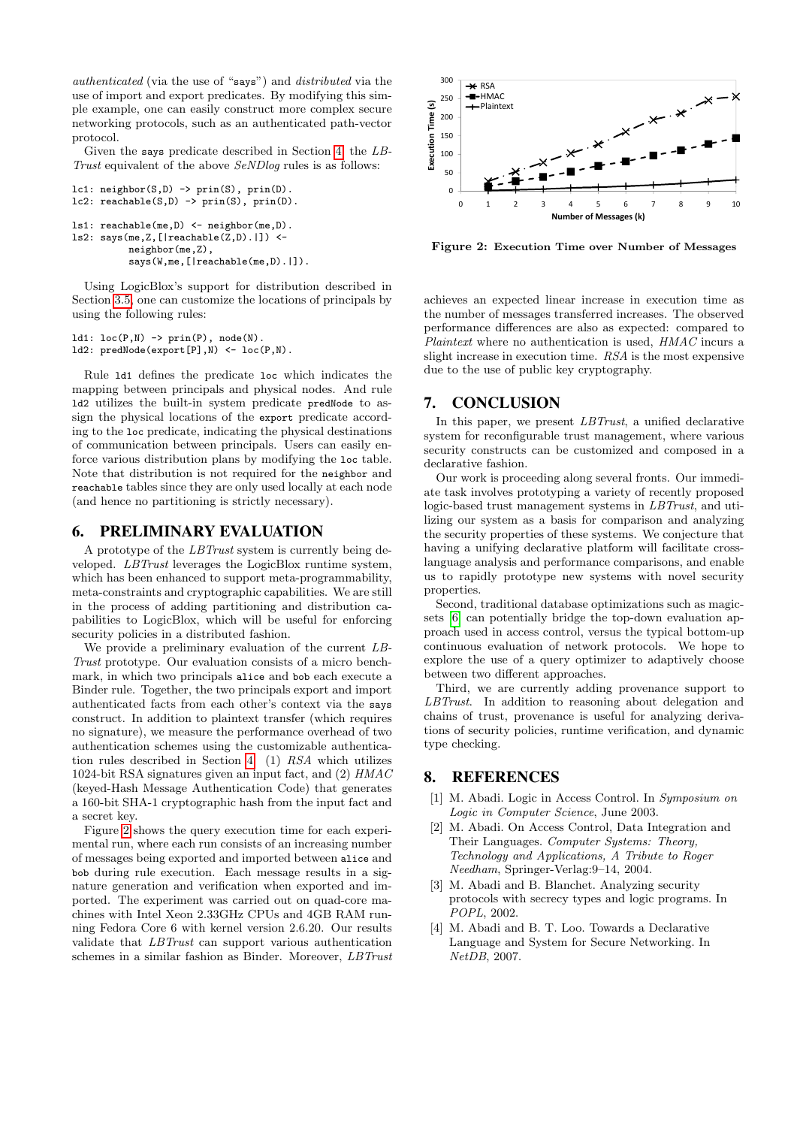authenticated (via the use of "says") and distributed via the use of import and export predicates. By modifying this simple example, one can easily construct more complex secure networking protocols, such as an authenticated path-vector protocol.

Given the says predicate described in Section [4,](#page-3-0) the LB-Trust equivalent of the above SeNDlog rules is as follows:

```
lc1: neighbor(S,D) -> prin(S), prin(D).
lc2: reachable(S, D) \rightarrow prin(S), prin(D).ls1: reachable(me,D) <- neighbor(me,D).
ls2: says(me,Z,[|reachable(Z,D).|]) <-
          neighbor(me,Z),
          says(W,me,[|reachable(me,D).|]).
```
Using LogicBlox's support for distribution described in Section [3.5,](#page-3-2) one can customize the locations of principals by using the following rules:

```
ld1: loc(P,N) \rightarrow prin(P), node(N).ld2: predNode(export[P],N) <- loc(P,N).
```
Rule ld1 defines the predicate loc which indicates the mapping between principals and physical nodes. And rule ld2 utilizes the built-in system predicate predNode to assign the physical locations of the export predicate according to the loc predicate, indicating the physical destinations of communication between principals. Users can easily enforce various distribution plans by modifying the loc table. Note that distribution is not required for the neighbor and reachable tables since they are only used locally at each node (and hence no partitioning is strictly necessary).

## 6. PRELIMINARY EVALUATION

A prototype of the LBTrust system is currently being developed. LBTrust leverages the LogicBlox runtime system, which has been enhanced to support meta-programmability, meta-constraints and cryptographic capabilities. We are still in the process of adding partitioning and distribution capabilities to LogicBlox, which will be useful for enforcing security policies in a distributed fashion.

We provide a preliminary evaluation of the current LB-Trust prototype. Our evaluation consists of a micro benchmark, in which two principals alice and bob each execute a Binder rule. Together, the two principals export and import authenticated facts from each other's context via the says construct. In addition to plaintext transfer (which requires no signature), we measure the performance overhead of two authentication schemes using the customizable authentication rules described in Section [4:](#page-3-0) (1) RSA which utilizes 1024-bit RSA signatures given an input fact, and (2) HMAC (keyed-Hash Message Authentication Code) that generates a 160-bit SHA-1 cryptographic hash from the input fact and a secret key.

Figure [2](#page-6-4) shows the query execution time for each experimental run, where each run consists of an increasing number of messages being exported and imported between alice and bob during rule execution. Each message results in a signature generation and verification when exported and imported. The experiment was carried out on quad-core machines with Intel Xeon 2.33GHz CPUs and 4GB RAM running Fedora Core 6 with kernel version 2.6.20. Our results validate that LBTrust can support various authentication schemes in a similar fashion as Binder. Moreover, LBTrust



<span id="page-6-4"></span>Figure 2: Execution Time over Number of Messages

achieves an expected linear increase in execution time as the number of messages transferred increases. The observed performance differences are also as expected: compared to Plaintext where no authentication is used,  $HMAC$  incurs a slight increase in execution time. RSA is the most expensive due to the use of public key cryptography.

## 7. CONCLUSION

In this paper, we present *LBTrust*, a unified declarative system for reconfigurable trust management, where various security constructs can be customized and composed in a declarative fashion.

Our work is proceeding along several fronts. Our immediate task involves prototyping a variety of recently proposed logic-based trust management systems in *LBTrust*, and utilizing our system as a basis for comparison and analyzing the security properties of these systems. We conjecture that having a unifying declarative platform will facilitate crosslanguage analysis and performance comparisons, and enable us to rapidly prototype new systems with novel security properties.

Second, traditional database optimizations such as magicsets [\[6\]](#page-7-14) can potentially bridge the top-down evaluation approach used in access control, versus the typical bottom-up continuous evaluation of network protocols. We hope to explore the use of a query optimizer to adaptively choose between two different approaches.

Third, we are currently adding provenance support to LBTrust. In addition to reasoning about delegation and chains of trust, provenance is useful for analyzing derivations of security policies, runtime verification, and dynamic type checking.

#### 8. REFERENCES

- <span id="page-6-3"></span>[1] M. Abadi. Logic in Access Control. In Symposium on Logic in Computer Science, June 2003.
- <span id="page-6-1"></span>[2] M. Abadi. On Access Control, Data Integration and Their Languages. Computer Systems: Theory, Technology and Applications, A Tribute to Roger Needham, Springer-Verlag:9–14, 2004.
- <span id="page-6-0"></span>[3] M. Abadi and B. Blanchet. Analyzing security protocols with secrecy types and logic programs. In POPL, 2002.
- <span id="page-6-2"></span>[4] M. Abadi and B. T. Loo. Towards a Declarative Language and System for Secure Networking. In NetDB, 2007.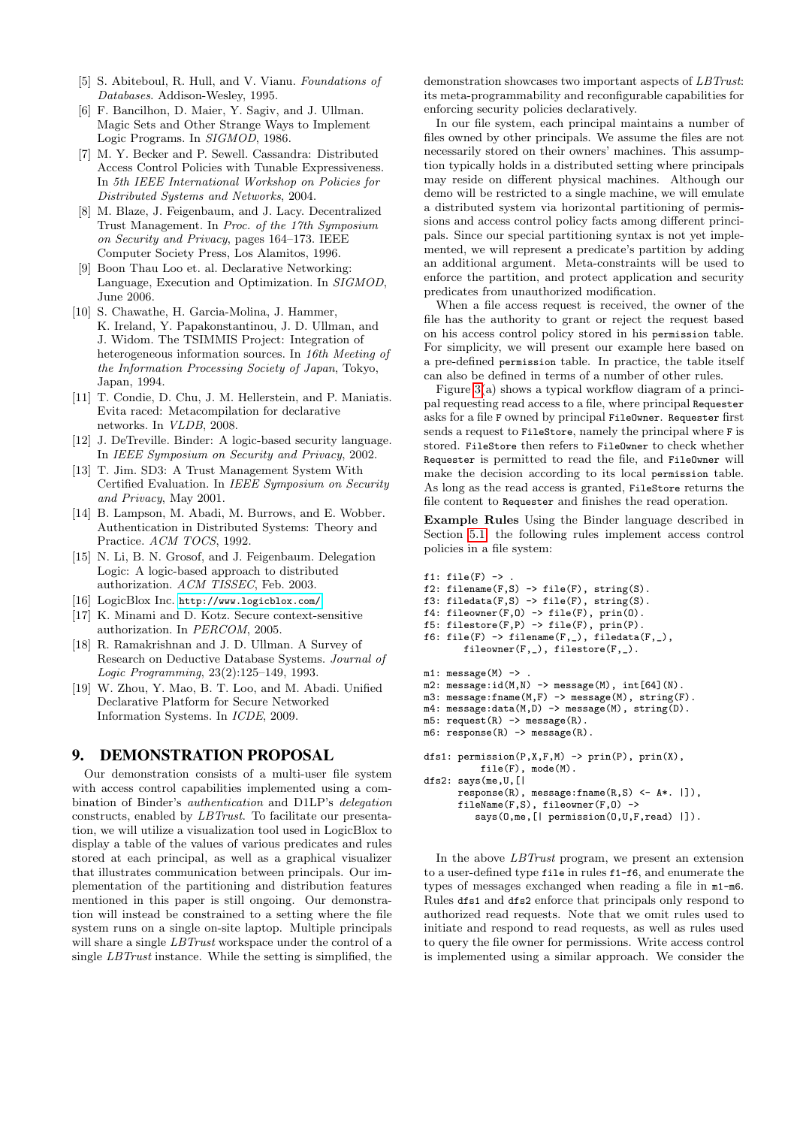- <span id="page-7-13"></span>[5] S. Abiteboul, R. Hull, and V. Vianu. Foundations of Databases. Addison-Wesley, 1995.
- <span id="page-7-14"></span>[6] F. Bancilhon, D. Maier, Y. Sagiv, and J. Ullman. Magic Sets and Other Strange Ways to Implement Logic Programs. In SIGMOD, 1986.
- <span id="page-7-2"></span>[7] M. Y. Becker and P. Sewell. Cassandra: Distributed Access Control Policies with Tunable Expressiveness. In 5th IEEE International Workshop on Policies for Distributed Systems and Networks, 2004.
- <span id="page-7-0"></span>[8] M. Blaze, J. Feigenbaum, and J. Lacy. Decentralized Trust Management. In Proc. of the 17th Symposium on Security and Privacy, pages 164–173. IEEE Computer Society Press, Los Alamitos, 1996.
- <span id="page-7-8"></span>[9] Boon Thau Loo et. al. Declarative Networking: Language, Execution and Optimization. In SIGMOD, June 2006.
- <span id="page-7-7"></span>[10] S. Chawathe, H. Garcia-Molina, J. Hammer, K. Ireland, Y. Papakonstantinou, J. D. Ullman, and J. Widom. The TSIMMIS Project: Integration of heterogeneous information sources. In 16th Meeting of the Information Processing Society of Japan, Tokyo, Japan, 1994.
- <span id="page-7-10"></span>[11] T. Condie, D. Chu, J. M. Hellerstein, and P. Maniatis. Evita raced: Metacompilation for declarative networks. In VLDB, 2008.
- <span id="page-7-1"></span>[12] J. DeTreville. Binder: A logic-based security language. In IEEE Symposium on Security and Privacy, 2002.
- <span id="page-7-4"></span>[13] T. Jim. SD3: A Trust Management System With Certified Evaluation. In IEEE Symposium on Security and Privacy, May 2001.
- <span id="page-7-6"></span>[14] B. Lampson, M. Abadi, M. Burrows, and E. Wobber. Authentication in Distributed Systems: Theory and Practice. ACM TOCS, 1992.
- <span id="page-7-3"></span>[15] N. Li, B. N. Grosof, and J. Feigenbaum. Delegation Logic: A logic-based approach to distributed authorization. ACM TISSEC, Feb. 2003.
- <span id="page-7-9"></span>[16] LogicBlox Inc. <http://www.logicblox.com/>.
- <span id="page-7-5"></span>[17] K. Minami and D. Kotz. Secure context-sensitive authorization. In PERCOM, 2005.
- <span id="page-7-12"></span>[18] R. Ramakrishnan and J. D. Ullman. A Survey of Research on Deductive Database Systems. Journal of Logic Programming, 23(2):125–149, 1993.
- <span id="page-7-11"></span>[19] W. Zhou, Y. Mao, B. T. Loo, and M. Abadi. Unified Declarative Platform for Secure Networked Information Systems. In ICDE, 2009.

## 9. DEMONSTRATION PROPOSAL

Our demonstration consists of a multi-user file system with access control capabilities implemented using a combination of Binder's authentication and D1LP's delegation constructs, enabled by LBTrust. To facilitate our presentation, we will utilize a visualization tool used in LogicBlox to display a table of the values of various predicates and rules stored at each principal, as well as a graphical visualizer that illustrates communication between principals. Our implementation of the partitioning and distribution features mentioned in this paper is still ongoing. Our demonstration will instead be constrained to a setting where the file system runs on a single on-site laptop. Multiple principals will share a single *LBTrust* workspace under the control of a single LBTrust instance. While the setting is simplified, the

demonstration showcases two important aspects of LBTrust: its meta-programmability and reconfigurable capabilities for enforcing security policies declaratively.

In our file system, each principal maintains a number of files owned by other principals. We assume the files are not necessarily stored on their owners' machines. This assumption typically holds in a distributed setting where principals may reside on different physical machines. Although our demo will be restricted to a single machine, we will emulate a distributed system via horizontal partitioning of permissions and access control policy facts among different principals. Since our special partitioning syntax is not yet implemented, we will represent a predicate's partition by adding an additional argument. Meta-constraints will be used to enforce the partition, and protect application and security predicates from unauthorized modification.

When a file access request is received, the owner of the file has the authority to grant or reject the request based on his access control policy stored in his permission table. For simplicity, we will present our example here based on a pre-defined permission table. In practice, the table itself can also be defined in terms of a number of other rules.

Figure [3\(](#page-8-0)a) shows a typical workflow diagram of a principal requesting read access to a file, where principal Requester asks for a file F owned by principal FileOwner. Requester first sends a request to FileStore, namely the principal where F is stored. FileStore then refers to FileOwner to check whether Requester is permitted to read the file, and FileOwner will make the decision according to its local permission table. As long as the read access is granted, FileStore returns the file content to Requester and finishes the read operation.

Example Rules Using the Binder language described in Section [5.1,](#page-5-0) the following rules implement access control policies in a file system:

```
f1: file(F) \rightarrowf2: filename(F,S) \rightarrow file(F), string(S).
f3: filedata(F,S) \rightarrow file(F), string(S).
f4: fileowner(F,0) \rightarrow file(F), prin(0).
f5: filestore(F,P) -> file(F), prin(P).
f6: file(F) \rightarrow filename(F,_), filedata(F,_),
        fileowner(F, _-), filestore(F, _-).
m1: message(M) ->
m2: message:id(M,N) -> message(M), int[64](N).
m3: message: fname(M, F) \rightarrow message(M), string(F).
m4: message:data(M,D) -> message(M), string(D).
m5: request(R) \rightarrow message(R).
m6: response(R) \rightarrow message(R).
dfs1: permission(P,X,F,M) -> prin(P), prin(X),
           file(F), mode(M).
dfs2: says(me,U,[|
      response(R), message:fname(R,S) <- A*. |]),
      fileName(F,S), fileowner(F,O) ->
          says(0,me, [| permission(0,U,F,read) |]).
```
In the above LBTrust program, we present an extension to a user-defined type file in rules f1-f6, and enumerate the types of messages exchanged when reading a file in m1-m6. Rules dfs1 and dfs2 enforce that principals only respond to authorized read requests. Note that we omit rules used to initiate and respond to read requests, as well as rules used to query the file owner for permissions. Write access control is implemented using a similar approach. We consider the